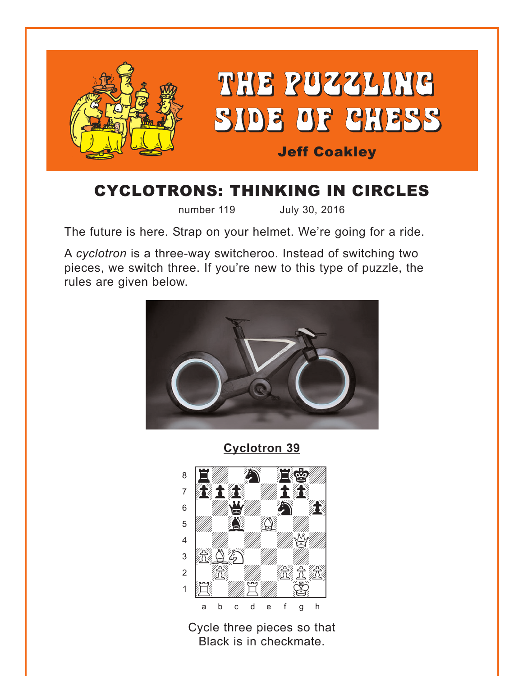<span id="page-0-0"></span>

# **CYCLOTRONS: THINKING IN CIRCLES**

number 119 July 30, 2016

The future is here. Strap on your helmet. We're going for a ride.

A cyclotron is a three-way switcheroo. Instead of switching two pieces, we switch three. If you're new to this type of puzzle, the rules are given below.



**Cyclotron 39** 



Cycle three pieces so that Black is in checkmate.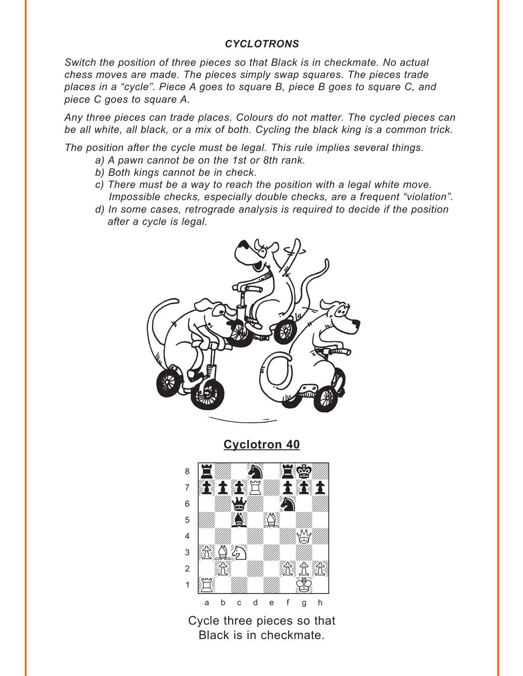#### **CYCLOTRONS**

<span id="page-1-0"></span>Switch the position of three pieces so that Black is in checkmate. No actual chess moves are made. The pieces simply swap squares. The pieces trade places in a "cycle". Piece A goes to square B, piece B goes to square C, and piece C goes to square A.

Any three pieces can trade places. Colours do not matter. The cycled pieces can be all white, all black, or a mix of both. Cycling the black king is a common trick.

The position after the cycle must be legal. This rule implies several things.

- a) A pawn cannot be on the 1st or 8th rank.
- b) Both kings cannot be in check.
- c) There must be a way to reach the position with a legal white move. Impossible checks, especially double checks, are a frequent "violation".
- d) In some cases, retrograde analysis is required to decide if the position after a cycle is legal.



**Cyclotron 40** 



Cycle three pieces so that Black is in checkmate.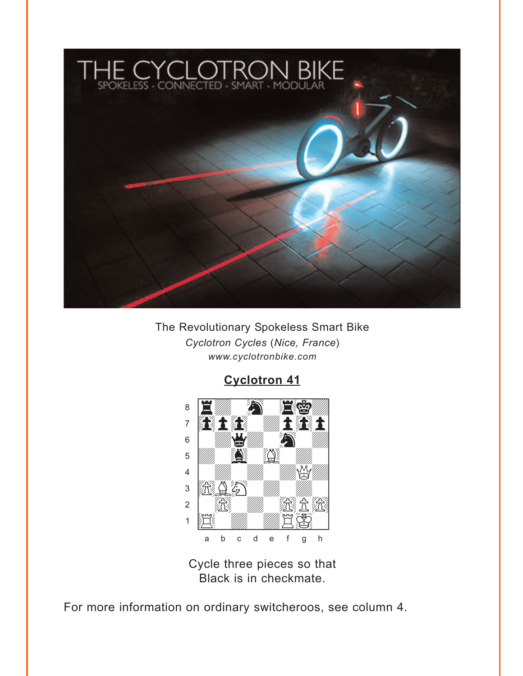<span id="page-2-0"></span>

The Revolutionary Spokeless Smart Bike Cyclotron Cycles (Nice, France) www.cyclotronbike.com

**Cyclotron 41** 



Cycle three pieces so that Black is in checkmate.

For more information on ordinary switcheroos, see column 4.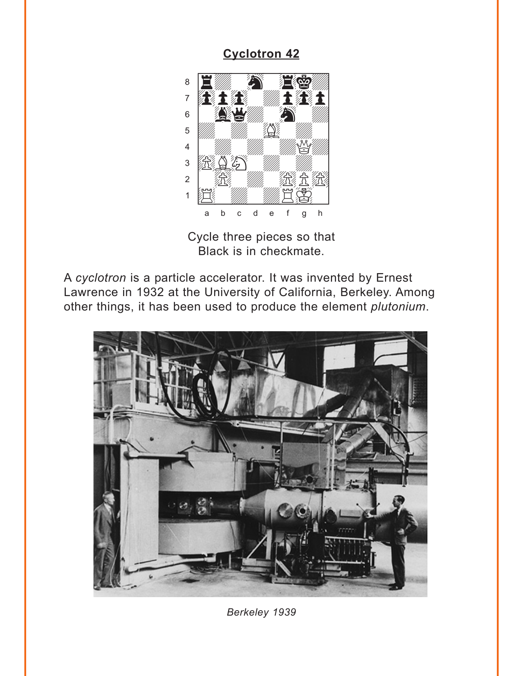### **Cyclotron 42**

<span id="page-3-0"></span>

Cycle three pieces so that Black is in checkmate.

A cyclotron is a particle accelerator. It was invented by Ernest Lawrence in 1932 at the University of California, Berkeley. Among other things, it has been used to produce the element plutonium.



Berkeley 1939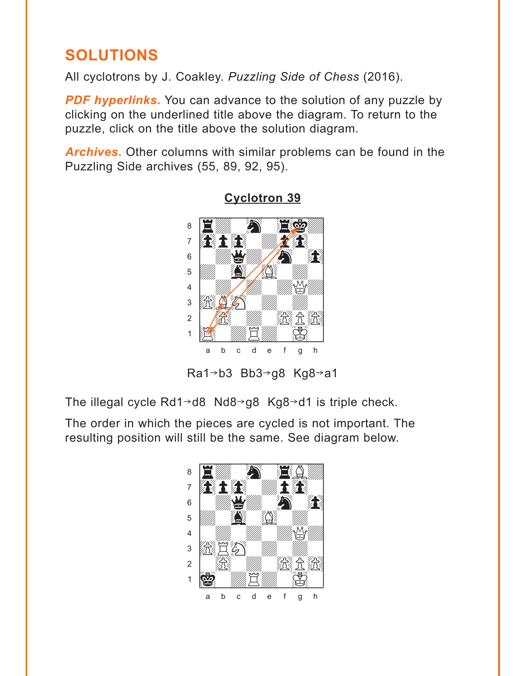## <span id="page-4-0"></span>**SOLUTIONS**

All cyclotrons by J. Coakley. Puzzling Side of Chess (2016).

**PDF hyperlinks.** You can advance to the solution of any puzzle by clicking on the underlined title above the diagram. To return to the puzzle, click on the title above the solution diagram.

**Archives.** Other columns with similar problems can be found in the Puzzling Side archives (55, 89, 92, 95).



#### Cyclotron 39

Ra1→b3 Bb3→g8 Kg8→a1

The illegal cycle  $Rd1 \rightarrow d8$  Nd8 $\rightarrow g8$  Kg8 $\rightarrow d1$  is triple check.

The order in which the pieces are cycled is not important. The resulting position will still be the same. See diagram below.

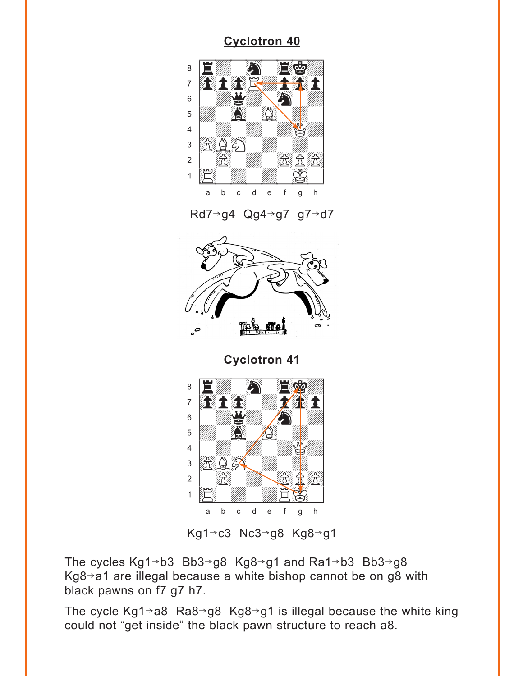## **Cyclotron 40**

<span id="page-5-0"></span>





**Cyclotron 41** 



Kg1→c3 Nc3→g8 Kg8→g1

The cycles Kg1→b3 Bb3→g8 Kg8→g1 and Ra1→b3 Bb3→g8  $Kg8 \rightarrow a1$  are illegal because a white bishop cannot be on g8 with black pawns on f7 g7 h7.

The cycle Kg1 $\rightarrow$ a8 Ra8 $\rightarrow$ g8 Kg8 $\rightarrow$ g1 is illegal because the white king could not "get inside" the black pawn structure to reach a8.